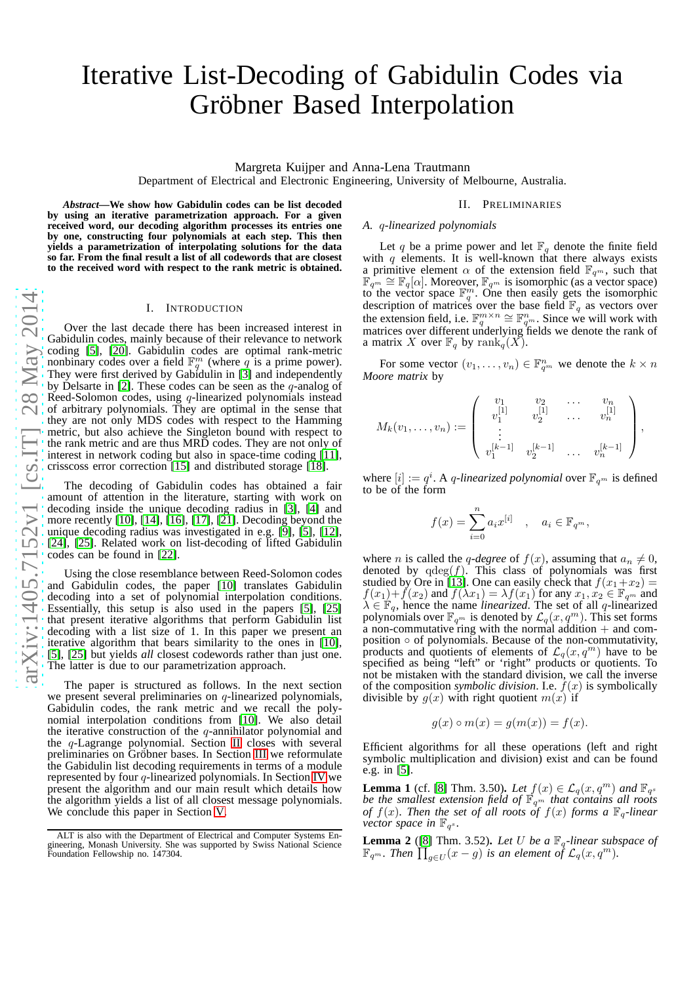# Iterative List-Decoding of Gabidulin Codes via Gröbner Based Interpolation

Margreta Kuijper and Anna-Lena Trautmann

Department of Electrical and Electronic Engineering, University of Melbourne, Australia.

*Abstract***—We show how Gabidulin codes can be list decoded by using an iterative parametrization approach. For a given received word, our decoding algorithm processes its entries one by one, constructing four polynomials at each step. This the n yields a parametrization of interpolating solutions for the data so far. From the final result a list of all codewords that are closest to the received word with respect to the rank metric is obtained.**

#### I. INTRODUCTION

Over the last decade there has been increased interest in Gabidulin codes, mainly because of their relevance to network coding [\[5\]](#page-4-0), [\[20\]](#page-4-1). Gabidulin codes are optimal rank-metric nonbinary codes over a field  $\mathbb{F}_q^m$  (where q is a prime power). They were first derived by Gabidulin in [\[3\]](#page-4-2) and independently by Delsarte in [\[2\]](#page-4-3). These codes can be seen as the  $q$ -analog of Reed-Solomon codes, using q-linearized polynomials instead of arbitrary polynomials. They are optimal in the sense that they are not only MDS codes with respect to the Hamming metric, but also achieve the Singleton bound with respect to the rank metric and are thus MRD codes. They are not only of interest in network coding but also in space-time coding [\[11\]](#page-4-4), crisscoss error correction  $\vert 15 \vert$  and distributed storage  $\vert \bar{18} \vert$ .

The decoding of Gabidulin codes has obtained a fair amount of attention in the literature, starting with work on decoding inside the unique decoding radius in [\[3\]](#page-4-2), [\[4\]](#page-4-7) and more recently [\[10\]](#page-4-8), [\[14\]](#page-4-9), [\[16\]](#page-4-10), [\[17\]](#page-4-11), [\[21\]](#page-4-12). Decoding beyond the unique decoding radius was investigated in e.g. [\[9\]](#page-4-13), [\[5\]](#page-4-0), [\[12\]](#page-4-14), [\[24\]](#page-4-15), [\[25\]](#page-4-16). Related work on list-decoding of lifted Gabidulin codes can be found in [\[22\]](#page-4-17).

Using the close resemblance between Reed-Solomon codes and Gabidulin codes, the paper [\[10\]](#page-4-8) translates Gabidulin decoding into a set of polynomial interpolation conditions . Essentially, this setup is also used in the papers [\[5\]](#page-4-0), [\[25\]](#page-4-16) that present iterative algorithms that perform Gabidulin list decoding with a list size of 1. In this paper we present an iterative algorithm that bears similarity to the ones in [\[10\]](#page-4-8), [\[5\]](#page-4-0), [\[25\]](#page-4-16) but yields *all* closest codewords rather than just one. The latter is due to our parametrization approach.

The paper is structured as follows. In the next section we present several preliminaries on  $q$ -linearized polynomials, Gabidulin codes, the rank metric and we recall the polynomial interpolation conditions from [\[10\]](#page-4-8). We also detail the iterative construction of the  $q$ -annihilator polynomial and the q-Lagrange polynomial. Section [II](#page-0-0) closes with several preliminaries on Gröbner bases. In Section [III](#page-2-0) we reformulate the Gabidulin list decoding requirements in terms of a modul e represented by four q-linearized polynomials. In Section [IV](#page-3-0) we present the algorithm and our main result which details how the algorithm yields a list of all closest message polynomials. We conclude this paper in Section [V.](#page-4-18)

# II. PRELIMINARIES

## <span id="page-0-0"></span>*A.* q*-linearized polynomials*

Let q be a prime power and let  $\mathbb{F}_q$  denote the finite field with  $q$  elements. It is well-known that there always exists a primitive element  $\alpha$  of the extension field  $\mathbb{F}_{q^m}$ , such that  $\mathbb{F}_{q^m} \cong \mathbb{F}_q[\alpha]$ . Moreover,  $\mathbb{F}_{q^m}$  is isomorphic (as a vector space) to the vector space  $\mathbb{F}_q^m$ . One then easily gets the isomorphic description of matrices over the base field  $\mathbb{F}_q$  as vectors over the extension field, i.e.  $\mathbb{F}_q^{m \times n} \cong \mathbb{F}_{q^m}^n$ . Since we will work with matrices over different underlying fields we denote the rank of a matrix X over  $\mathbb{F}_q$  by rank $_q(X)$ .

For some vector  $(v_1, \ldots, v_n) \in \mathbb{F}_{q^m}^n$  we denote the  $k \times n$ *Moore matrix* by

$$
M_k(v_1,\ldots,v_n) := \left(\begin{array}{cccc} v_1 & v_2 & \ldots & v_n \\ v_1^{[1]} & v_2^{[1]} & \ldots & v_n^{[1]} \\ \vdots & & & \\ v_1^{[k-1]} & v_2^{[k-1]} & \ldots & v_n^{[k-1]} \end{array}\right),
$$

where  $[i] := q^i$ . A *q*-linearized polynomial over  $\mathbb{F}_{q^m}$  is defined to be of the form

$$
f(x) = \sum_{i=0}^{n} a_i x^{[i]}, \quad a_i \in \mathbb{F}_{q^m},
$$

where *n* is called the *q*-degree of  $f(x)$ , assuming that  $a_n \neq 0$ , denoted by  $qdeg(f)$ . This class of polynomials was first studied by Ore in [\[13\]](#page-4-19). One can easily check that  $f(x_1+x_2) =$  $f(x_1)+f(x_2)$  and  $f(\lambda x_1)=\lambda f(x_1)$  for any  $x_1, x_2 \in \mathbb{F}_{q^m}$  and  $\lambda \in \mathbb{F}_q$ , hence the name *linearized*. The set of all q-linearized polynomials over  $\mathbb{F}_{q^m}$  is denoted by  $\mathcal{L}_q(x, q^m)$ . This set forms a non-commutative ring with the normal addition  $+$  and composition ◦ of polynomials. Because of the non-commutativity, products and quotients of elements of  $\mathcal{L}_q(x,q^m)$  have to be specified as being "left" or 'right" products or quotients. To not be mistaken with the standard division, we call the inverse of the composition *symbolic division*. I.e.  $f(x)$  is symbolically divisible by  $g(x)$  with right quotient  $m(x)$  if

$$
g(x) \circ m(x) = g(m(x)) = f(x).
$$

Efficient algorithms for all these operations (left and righ t symbolic multiplication and division) exist and can be foun d e.g. in [\[5\]](#page-4-0).

**Lemma 1** (cf. [\[8\]](#page-4-20) Thm. 3.50). Let  $f(x) \in \mathcal{L}_q(x, q^m)$  and  $\mathbb{F}_{q^s}$  be the smallest extension field of  $\mathbb{F}_{q^m}$  that contains all roots *of*  $f(x)$ . Then the set of all roots of  $f(x)$  forms a  $\mathbb{F}_q$ -linear *vector space in*  $\mathbb{F}_{q^s}$ .

**Lemma 2** ([\[8\]](#page-4-20) Thm. 3.52). Let U be a  $\mathbb{F}_q$ -linear subspace of  $\mathbb{F}_{q^m}$ . Then  $\prod_{g\in U}(x-g)$  is an element of  $\mathcal{L}_q(x,q^m)$ .

ALT is also with the Department of Electrical and Computer Systems Engineering, Monash University. She was supported by Swiss National Science Foundation Fellowship no. 147304.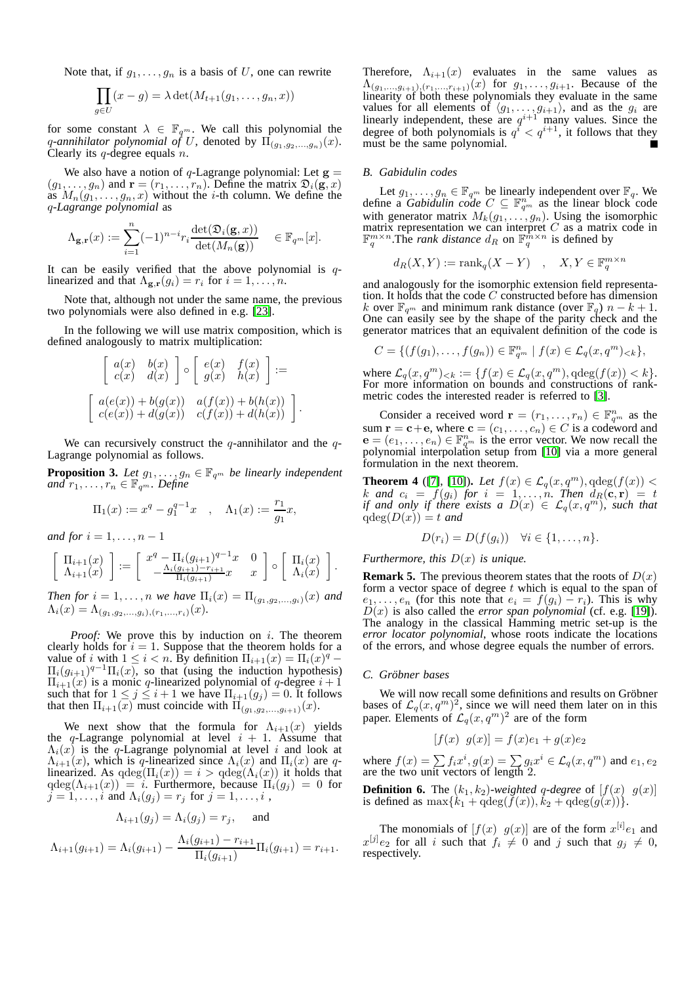Note that, if  $g_1, \ldots, g_n$  is a basis of U, one can rewrite

$$
\prod_{g \in U} (x - g) = \lambda \det(M_{t+1}(g_1, \dots, g_n, x))
$$

for some constant  $\lambda \in \mathbb{F}_{q^m}$ . We call this polynomial the q-annihilator polynomial of U, denoted by  $\Pi_{(g_1,g_2,...,g_n)}(x)$ . Clearly its  $q$ -degree equals  $n$ .

We also have a notion of q-Lagrange polynomial: Let  $g =$  $(g_1, \ldots, g_n)$  and  $\mathbf{r} = (r_1, \ldots, r_n)$ . Define the matrix  $\mathfrak{D}_i(\mathbf{g}, x)$ as  $M_n(g_1, \ldots, g_n, x)$  without the *i*-th column. We define the q*-Lagrange polynomial* as

$$
\Lambda_{\mathbf{g},\mathbf{r}}(x) := \sum_{i=1}^n (-1)^{n-i} r_i \frac{\det(\mathfrak{D}_i(\mathbf{g},x))}{\det(M_n(\mathbf{g}))} \quad \in \mathbb{F}_{q^m}[x].
$$

It can be easily verified that the above polynomial is  $q$ linearized and that  $\Lambda_{\mathbf{g},\mathbf{r}}(g_i) = r_i$  for  $i = 1, \ldots, n$ .

Note that, although not under the same name, the previous two polynomials were also defined in e.g. [\[23\]](#page-4-21).

In the following we will use matrix composition, which is defined analogously to matrix multiplication:

$$
\begin{bmatrix} a(x) & b(x) \\ c(x) & d(x) \end{bmatrix} \circ \begin{bmatrix} e(x) & f(x) \\ g(x) & h(x) \end{bmatrix} :=
$$

$$
\begin{bmatrix} a(e(x)) + b(g(x)) & a(f(x)) + b(h(x)) \\ c(e(x)) + d(g(x)) & c(f(x)) + d(h(x)) \end{bmatrix}
$$

.

We can recursively construct the  $q$ -annihilator and the  $q$ -Lagrange polynomial as follows.

<span id="page-1-0"></span>**Proposition 3.** Let  $g_1, \ldots, g_n \in \mathbb{F}_{q^m}$  be linearly independent  $and \ r_1, \ldots, r_n \in \mathbb{F}_{q^m}$ . *Define* 

$$
\Pi_1(x) := x^q - g_1^{q-1}x
$$
,  $\Lambda_1(x) := \frac{r_1}{g_1}x$ ,

*and for*  $i = 1, \ldots, n - 1$ 

$$
\begin{bmatrix}\n\Pi_{i+1}(x) \\
\Lambda_{i+1}(x)\n\end{bmatrix} := \begin{bmatrix}\nx^q - \Pi_i(g_{i+1})^{q-1}x & 0 \\
-\frac{\Lambda_i(g_{i+1}) - r_{i+1}}{\Pi_i(g_{i+1})}x & x\n\end{bmatrix} \circ \begin{bmatrix}\n\Pi_i(x) \\
\Lambda_i(x)\n\end{bmatrix}.
$$

*Then for*  $i = 1, ..., n$  *we have*  $\Pi_i(x) = \Pi_{(q_1, q_2, ..., q_i)}(x)$  *and*  $\Lambda_i(x) = \Lambda_{(g_1, g_2, \ldots, g_i), (r_1, \ldots, r_i)}(x)$ .

*Proof:* We prove this by induction on i. The theorem clearly holds for  $i = 1$ . Suppose that the theorem holds for a value of i with  $1 \leq i < n$ . By definition  $\Pi_{i+1}(x) = \Pi_i(x)^q \Pi_i(g_{i+1})^{q-1}\Pi_i(x)$ , so that (using the induction hypothesis)  $\Pi_{i+1}(x)$  is a monic q-linearized polynomial of q-degree  $i+1$ such that for  $1 \leq j \leq i+1$  we have  $\Pi_{i+1}(g_j) = 0$ . It follows that then  $\Pi_{i+1}(x)$  must coincide with  $\Pi_{(q_1,q_2,...,q_{i+1})}(x)$ .

We next show that the formula for  $\Lambda_{i+1}(x)$  yields the q-Lagrange polynomial at level  $i + 1$ . Assume that  $\Lambda_i(x)$  is the q-Lagrange polynomial at level i and look at  $\Lambda_{i+1}(x)$ , which is q-linearized since  $\Lambda_i(x)$  and  $\Pi_i(x)$  are qlinearized. As  $qdeg(\Pi_i(x)) = i > qdeg(\Lambda_i(x))$  it holds that  $q \deg(\Lambda_{i+1}(x)) = i$ . Furthermore, because  $\Pi_i(g_j) = 0$  for  $j = 1, \ldots, i$  and  $\Lambda_i(g_j) = r_j$  for  $j = 1, \ldots, i$ ,

$$
\Lambda_{i+1}(g_j) = \Lambda_i(g_j) = r_j, \text{ and}
$$
  

$$
\Lambda_{i+1}(g_{i+1}) = \Lambda_i(g_{i+1}) - \frac{\Lambda_i(g_{i+1}) - r_{i+1}}{\Pi_i(g_{i+1})} \Pi_i(g_{i+1}) = r_{i+1}.
$$

Therefore,  $\Lambda_{i+1}(x)$  evaluates in the same values as  $\Lambda_{(g_1,...,g_{i+1}), (r_1,...,r_{i+1})}(x)$  for  $g_1,...,g_{i+1}$ . Because of the linearity of both these polynomials they evaluate in the same values for all elements of  $\langle g_1, \ldots, g_{i+1} \rangle$ , and as the  $g_i$  are linearly independent, these are  $q^{i+1}$  many values. Since the degree of both polynomials is  $q^{i} < q^{i+1}$ , it follows that they must be the same polynomial.

## *B. Gabidulin codes*

Let  $g_1, \ldots, g_n \in \mathbb{F}_{q^m}$  be linearly independent over  $\mathbb{F}_q$ . We define a *Gabidulin code*  $C \subseteq \mathbb{F}_{q^m}^n$  as the linear block code with generator matrix  $M_k(g_1, \ldots, g_n)$ . Using the isomorphic matrix representation we can interpret C as a matrix code in  $\mathbb{F}_q^{m \times n}$ . The *rank distance*  $d_R$  on  $\mathbb{F}_q^{m \times n}$  is defined by

$$
d_R(X, Y) := \text{rank}_q(X - Y) \quad , \quad X, Y \in \mathbb{F}_q^{m \times n}
$$

and analogously for the isomorphic extension field representation. It holds that the code  $C$  constructed before has dimension k over  $\mathbb{F}_{q^m}$  and minimum rank distance (over  $\mathbb{F}_q$ )  $n - k + 1$ . One can easily see by the shape of the parity check and the generator matrices that an equivalent definition of the code is

$$
C = \{ (f(g_1), \ldots, f(g_n)) \in \mathbb{F}_{q^m}^n \mid f(x) \in \mathcal{L}_q(x, q^m)_{< k} \},
$$

where  $\mathcal{L}_q(x, q^m)_{< k} := \{f(x) \in \mathcal{L}_q(x, q^m), \text{qdeg}(f(x)) < k\}.$ For more information on bounds and constructions of rankmetric codes the interested reader is referred to [\[3\]](#page-4-2).

Consider a received word  $\mathbf{r} = (r_1, \dots, r_n) \in \mathbb{F}_{q^m}^n$  as the sum  $\mathbf{r} = \mathbf{c} + \mathbf{e}$ , where  $\mathbf{c} = (c_1, \dots, c_n) \in C$  is a codeword and  $\mathbf{e} = (e_1, \dots, e_n) \in \mathbb{F}_{q^m}^n$  is the error vector. We now recall the polynomial interpolation setup from [\[10\]](#page-4-8) via a more general formulation in the next theorem.

**Theorem 4** ([\[7\]](#page-4-22), [\[10\]](#page-4-8)). *Let*  $f(x) \in \mathcal{L}_q(x, q^m)$ ,  $qdeg(f(x))$  < k and  $c_i = f(g_i)$  for  $i = 1, \ldots, n$ . Then  $d_R(c, r) = t$ *if and only if there exists a*  $D(x) \in \mathcal{L}_q(x, q^m)$ , such that  $qdeg(D(x)) = t$  *and* 

$$
D(r_i) = D(f(g_i)) \quad \forall i \in \{1, \ldots, n\}.
$$

*Furthermore, this* D(x) *is unique.*

**Remark 5.** The previous theorem states that the roots of  $D(x)$ form a vector space of degree  $t$  which is equal to the span of  $e_1, \ldots, e_n$  (for this note that  $e_i = f(g_i) - r_i$ ). This is why  $D(x)$  is also called the *error span polynomial* (cf. e.g. [\[19\]](#page-4-23)). The analogy in the classical Hamming metric set-up is the *error locator polynomial*, whose roots indicate the locations of the errors, and whose degree equals the number of errors.

#### *C. Grobner bases ¨*

We will now recall some definitions and results on Gröbner bases of  $\mathcal{L}_q(x, q^m)^2$ , since we will need them later on in this paper. Elements of  $\mathcal{L}_q(x, q^m)^2$  are of the form

$$
[f(x) \ \ g(x)] = f(x)e_1 + g(x)e_2
$$

where  $f(x) = \sum f_i x^i$ ,  $g(x) = \sum g_i x^i \in \mathcal{L}_q(x, q^m)$  and  $e_1, e_2$ are the two unit vectors of length 2.

**Definition 6.** The  $(k_1, k_2)$ -weighted q-degree of  $[f(x) \mid g(x)]$ is defined as  $\max\{k_1 + \alpha\deg(f(x)), k_2 + \alpha\deg(g(x))\}.$ 

The monomials of  $[f(x) \ g(x)]$  are of the form  $x^{[i]}e_1$  and  $x^{[j]}e_2$  for all i such that  $f_i \neq 0$  and j such that  $g_j \neq 0$ , respectively.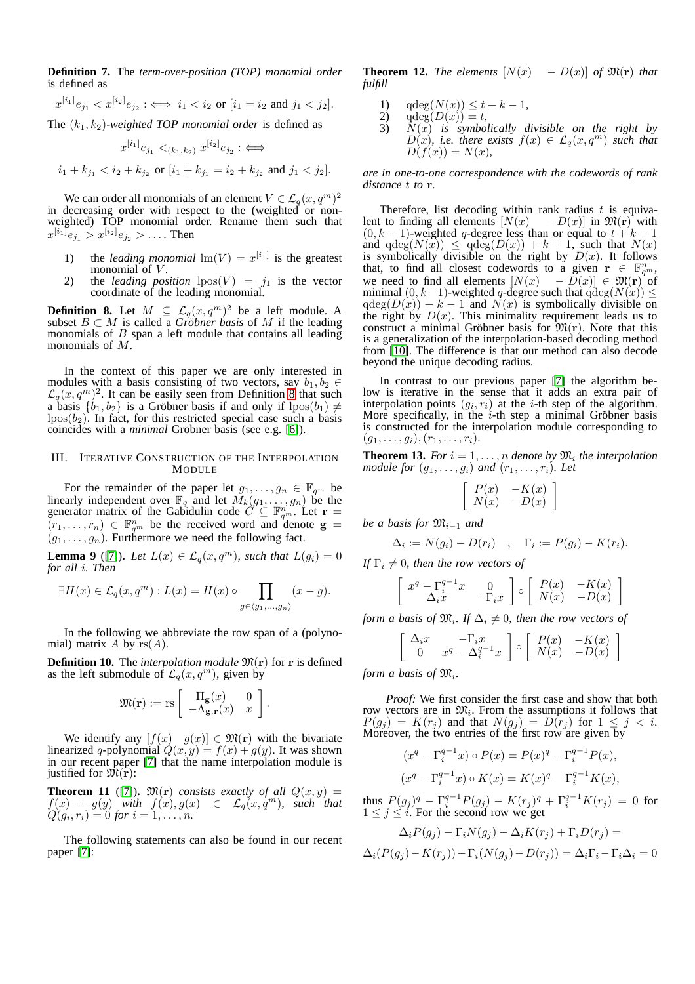**Definition 7.** The *term-over-position (TOP) monomial order* is defined as

$$
x^{[i_1]}e_{j_1} < x^{[i_2]}e_{j_2} \colon \iff i_1 < i_2 \text{ or } [i_1 = i_2 \text{ and } j_1 < j_2].
$$

The  $(k_1, k_2)$ *-weighted TOP monomial order* is defined as

$$
x^{[i_1]}e_{j_1} <_{(k_1,k_2)} x^{[i_2]}e_{j_2} : \iff
$$

 $i_1 + k_{j_1} < i_2 + k_{j_2}$  or  $[i_1 + k_{j_1} = i_2 + k_{j_2}$  and  $j_1 < j_2$ .

We can order all monomials of an element  $V \in \mathcal{L}_q(x, q^m)^2$ in decreasing order with respect to the (weighted or nonweighted) TOP monomial order. Rename them such that  $x^{[i_1]}e_{j_1} > x^{[i_2]}e_{j_2} > \dots$  Then

- 1) the *leading monomial*  $\text{Im}(V) = x^{[i_1]}$  is the greatest monomial of  $V$ .
- 2) the *leading position*  $lpos(V) = j_1$  is the vector coordinate of the leading monomial.

<span id="page-2-1"></span>**Definition 8.** Let  $M \subseteq \mathcal{L}_q(x,q^m)^2$  be a left module. A subset  $B \subset M$  is called a *Gröbner basis* of M if the leading monomials of  $B$  span a left module that contains all leading monomials of M.

In the context of this paper we are only interested in modules with a basis consisting of two vectors, say  $b_1, b_2 \in$  $\mathcal{L}_q(x,q^m)^2$ . It can be easily seen from Definition [8](#page-2-1) that such a basis  $\{b_1, b_2\}$  is a Gröbner basis if and only if  $lpos(b_1) \neq$  $lpos(b<sub>2</sub>)$ . In fact, for this restricted special case such a basis coincides with a *minimal* Gröbner basis (see e.g. [\[6\]](#page-4-24)).

#### <span id="page-2-0"></span>III. ITERATIVE CONSTRUCTION OF THE INTERPOLATION MODULE

For the remainder of the paper let  $g_1, \ldots, g_n \in \mathbb{F}_{q^m}$  be linearly independent over  $\mathbb{F}_q$  and let  $\widetilde{M}_k(g_1, \ldots, g_n)$  be the generator matrix of the Gabidulin code  $\widetilde{C} \subseteq \mathbb{F}_{q^m}^{n}$ . Let  $\mathbf{r} =$  $(r_1,\ldots,r_n) \in \mathbb{F}_{q^m}^n$  be the received word and denote  $\mathbf{g} =$  $(g_1, \ldots, g_n)$ . Furthermore we need the following fact.

<span id="page-2-2"></span>**Lemma 9** ([\[7\]](#page-4-22)). Let  $L(x) \in \mathcal{L}_q(x, q^m)$ , such that  $L(g_i) = 0$ *for all* i*. Then*

$$
\exists H(x) \in \mathcal{L}_q(x, q^m) : L(x) = H(x) \circ \prod_{g \in \langle g_1, \dots, g_n \rangle} (x - g).
$$

In the following we abbreviate the row span of a (polynomial) matrix A by  $rs(A)$ .

**Definition 10.** The *interpolation module*  $\mathfrak{M}(\mathbf{r})$  for **r** is defined as the left submodule of  $\mathcal{L}_q(x, q^m)$ , given by

$$
\mathfrak{M}(\mathbf{r}) := \text{rs} \left[ \begin{array}{cc} \Pi_{\mathbf{g}}(x) & 0 \\ -\Lambda_{\mathbf{g},\mathbf{r}}(x) & x \end{array} \right].
$$

We identify any  $[f(x) \quad g(x)] \in \mathfrak{M}(\mathbf{r})$  with the bivariate linearized q-polynomial  $Q(x, y) = f(x) + g(y)$ . It was shown in our recent paper [\[7\]](#page-4-22) that the name interpolation module is justified for  $\mathfrak{M}(\mathbf{r})$ :

**Theorem 11** ([\[7\]](#page-4-22)).  $\mathfrak{M}(\mathbf{r})$  *consists exactly of all*  $Q(x, y) =$  $f(x) + g(y)$  with  $f(x), g(x) \in \mathcal{L}_q(x, q^m)$ , such that  $Q(g_i, r_i) = 0$  *for*  $i = 1, ..., n$ .

The following statements can also be found in our recent paper [\[7\]](#page-4-22):

**Theorem 12.** *The elements*  $[N(x) - D(x)]$  *of*  $\mathfrak{M}(\mathbf{r})$  *that fulfill*

- 1)  $qdeg(N(x)) \le t + k 1,$ <br>
2)  $qdeg(D(x)) = t,$
- 2)  $qdeg(D(x)) = t$ ,<br>3)  $N(x)$  is symbol
- $\overline{N}(x)$  *is symbolically divisible on the right by*  $D(x)$ *, i.e. there exists*  $f(x) \in \mathcal{L}_q(x, q^m)$  *such that*  $D(f(x)) = N(x),$

*are in one-to-one correspondence with the codewords of rank distance* t *to* r*.*

Therefore, list decoding within rank radius  $t$  is equivalent to finding all elements  $[N(x) - D(x)]$  in  $\mathfrak{M}(r)$  with  $(0, k - 1)$ -weighted q-degree less than or equal to  $t + k - 1$ and  $qdeg(N(x)) \leq qdeg(D(x)) + k - 1$ , such that  $N(x)$ is symbolically divisible on the right by  $D(x)$ . It follows that, to find all closest codewords to a given  $\mathbf{r} \in \mathbb{F}_{q^m}^n$ , we need to find all elements  $[N(x) - \overline{D}(x)] \in \mathfrak{M}(r)^{1}$  of minimal  $(0, k-1)$ -weighted q-degree such that  $q \text{deg}(N(x)) \leq$  $qdeg(D(x)) + k - 1$  and  $\overline{N}(x)$  is symbolically divisible on the right by  $D(x)$ . This minimality requirement leads us to construct a minimal Gröbner basis for  $\mathfrak{M}(\mathbf{r})$ . Note that this is a generalization of the interpolation-based decoding method from [\[10\]](#page-4-8). The difference is that our method can also decode beyond the unique decoding radius.

In contrast to our previous paper [\[7\]](#page-4-22) the algorithm below is iterative in the sense that it adds an extra pair of interpolation points  $(g_i, r_i)$  at the *i*-th step of the algorithm. More specifically, in the  $i$ -th step a minimal Gröbner basis is constructed for the interpolation module corresponding to  $(g_1, \ldots, g_i), (r_1, \ldots, r_i).$ 

<span id="page-2-3"></span>**Theorem 13.** For  $i = 1, \ldots, n$  denote by  $\mathfrak{M}_i$  the interpolation *module for*  $(q_1, \ldots, q_i)$  *and*  $(r_1, \ldots, r_i)$ *. Let* 

$$
\left[\begin{array}{cc} P(x) & -K(x) \\ N(x) & -D(x) \end{array}\right]
$$

*be a basis for*  $\mathfrak{M}_{i-1}$  *and* 

$$
\Delta_i := N(g_i) - D(r_i) \quad , \quad \Gamma_i := P(g_i) - K(r_i).
$$

*If*  $\Gamma_i \neq 0$ *, then the row vectors of* 

$$
\left[\begin{array}{cc} x^q - \Gamma_i^{q-1} x & 0 \\ \Delta_i x & -\Gamma_i x \end{array}\right] \circ \left[\begin{array}{cc} P(x) & -K(x) \\ N(x) & -D(x) \end{array}\right]
$$

*form a basis of*  $\mathfrak{M}_i$ *. If*  $\Delta_i \neq 0$ *, then the row vectors of* 

$$
\left[\begin{array}{cc} \Delta_i x & -\Gamma_i x \\ 0 & x^q - \Delta_i^{q-1} x \end{array}\right] \circ \left[\begin{array}{cc} P(x) & -K(x) \\ N(x) & -D(x) \end{array}\right]
$$

form a basis of  $\mathfrak{M}_i$ .

*Proof:* We first consider the first case and show that both row vectors are in  $\mathfrak{M}_i$ . From the assumptions it follows that  $P(g_i) = K(r_i)$  and that  $N(g_i) = D(r_i)$  for  $1 \leq j \leq i$ . Moreover, the two entries of the first row are given by

$$
(x^{q} - \Gamma_{i}^{q-1}x) \circ P(x) = P(x)^{q} - \Gamma_{i}^{q-1}P(x),
$$
  

$$
(x^{q} - \Gamma_{i}^{q-1}x) \circ K(x) = K(x)^{q} - \Gamma_{i}^{q-1}K(x),
$$

thus  $P(g_j)^q - \Gamma_i^{q-1}P(g_j) - K(r_j)^q + \Gamma_i^{q-1}K(r_j) = 0$  for  $1 \le j \le i$ . For the second row we get

$$
\Delta_i P(g_j) - \Gamma_i N(g_j) - \Delta_i K(r_j) + \Gamma_i D(r_j) =
$$
  

$$
\Delta_i (P(g_j) - K(r_j)) - \Gamma_i (N(g_j) - D(r_j)) = \Delta_i \Gamma_i - \Gamma_i \Delta_i = 0
$$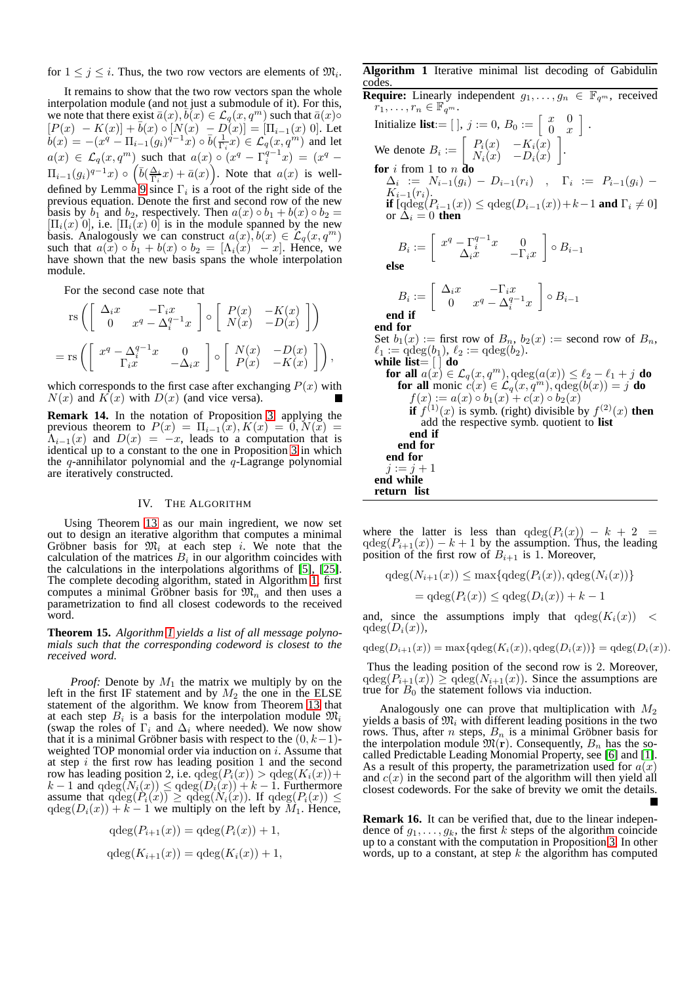for  $1 \leq j \leq i$ . Thus, the two row vectors are elements of  $\mathfrak{M}_i$ .

It remains to show that the two row vectors span the whole interpolation module (and not just a submodule of it). For this, we note that there exist  $\bar{a}(x), \bar{b}(x) \in \mathcal{L}_q(x, q^m)$  such that  $\bar{a}(x) \circ$  $[P(x) - K(x)] + \bar{b}(x) \circ [N(x) - D(x)] = [\Pi_{i-1}(x) \; 0].$  Let  $\overline{b}(x) = -(x^q - \Pi_{i-1}(g_i)^{q-1}x) \circ \overline{b}(\frac{1}{\Gamma_i}x) \in \mathcal{L}_q(x, q^m)$  and let  $a(x) \in \mathcal{L}_q(x,q^m)$  such that  $a(x) \circ (x^q - \Gamma_i^{q-1}x) = (x^q \Pi_{i-1}(g_i)^{q-1}x) \circ \left(\overline{b}(\frac{\Delta_i}{\Gamma_i}x)+\overline{a}(x)\right)$ . Note that  $a(x)$  is welldefined by Lemma<sup> $\circ$ </sup> [9](#page-2-2) since  $\Gamma_i$  is a root of the right side of the previous equation. Denote the first and second row of the new basis by  $b_1$  and  $b_2$ , respectively. Then  $a(x) \circ b_1 + b(x) \circ b_2 =$  $[\Pi_i(x)$  0, i.e.  $[\Pi_i(x)$  0 is in the module spanned by the new basis. Analogously we can construct  $a(x)$ ,  $b(x) \in \mathcal{L}_q(x, q^m)$ such that  $a(x) \circ b_1 + b(x) \circ b_2 = [\Lambda_i(x) - x]$ . Hence, we have shown that the new basis spans the whole interpolation module.

For the second case note that

$$
\operatorname{rs}\left(\begin{bmatrix} \Delta_i x & -\Gamma_i x \\ 0 & x^q - \Delta_i^{q-1} x \end{bmatrix} \circ \begin{bmatrix} P(x) & -K(x) \\ N(x) & -D(x) \end{bmatrix}\right)
$$

$$
= \operatorname{rs}\left(\begin{bmatrix} x^q - \Delta_i^{q-1} x & 0 \\ \Gamma_i x & -\Delta_i x \end{bmatrix} \circ \begin{bmatrix} N(x) & -D(x) \\ P(x) & -K(x) \end{bmatrix}\right),
$$

which corresponds to the first case after exchanging  $P(x)$  with  $N(x)$  and  $K(x)$  with  $D(x)$  (and vice versa).

**Remark 14.** In the notation of Proposition [3,](#page-1-0) applying the previous theorem to  $P(x) = \Pi_{i-1}(x), K(x) = 0, N(x) =$  $\Lambda_{i-1}(x)$  and  $D(x) = -x$ , leads to a computation that is identical up to a constant to the one in Proposition [3](#page-1-0) in which the q-annihilator polynomial and the  $q$ -Lagrange polynomial are iteratively constructed.

## IV. THE ALGORITHM

<span id="page-3-0"></span>Using Theorem [13](#page-2-3) as our main ingredient, we now set out to design an iterative algorithm that computes a minimal Gröbner basis for  $\mathfrak{M}_i$  at each step i. We note that the calculation of the matrices  $B_i$  in our algorithm coincides with the calculations in the interpolations algorithms of [\[5\]](#page-4-0), [\[25\]](#page-4-16). The complete decoding algorithm, stated in Algorithm [1,](#page-3-1) first computes a minimal Gröbner basis for  $\mathfrak{M}_n$  and then uses a parametrization to find all closest codewords to the received word.

**Theorem 15.** *Algorithm [1](#page-3-1) yields a list of all message polynomials such that the corresponding codeword is closest to the received word.*

*Proof:* Denote by  $M_1$  the matrix we multiply by on the left in the first IF statement and by  $M_2$  the one in the ELSE statement of the algorithm. We know from Theorem [13](#page-2-3) that at each step  $B_i$  is a basis for the interpolation module  $\mathfrak{M}_i$ (swap the roles of  $\Gamma_i$  and  $\Delta_i$  where needed). We now show that it is a minimal Gröbner basis with respect to the  $(0, k-1)$ weighted TOP monomial order via induction on *i*. Assume that at step  $i$  the first row has leading position 1 and the second row has leading position 2, i.e.  $qdeg(P_i(x)) > qdeg(K_i(x)) +$  $k-1$  and  $qdeg(N_i(x)) \leq qdeg(D_i(x)) + k - 1$ . Furthermore assume that  $\deg(P_i(x)) \geq \deg(N_i(x))$ . If  $\deg(P_i(x)) \leq$  $qdeg(D_i(x)) + k - 1$  we multiply on the left by  $M_1$ . Hence,

$$
qdeg(P_{i+1}(x)) = qdeg(P_i(x)) + 1,
$$
  

$$
qdeg(K_{i+1}(x)) = qdeg(K_i(x)) + 1,
$$

# <span id="page-3-1"></span>**Algorithm 1** Iterative minimal list decoding of Gabidulin codes.

**Require:** Linearly independent  $g_1, \ldots, g_n \in \mathbb{F}_{q^m}$ , received  $r_1, \ldots, r_n \in \mathbb{F}_{q^m}$ . Initialize **list**:=  $\begin{bmatrix} 1 \\ 1 \end{bmatrix}$ , j := 0,  $B_0$  :=  $\begin{bmatrix} x & 0 \\ 0 & x \end{bmatrix}$  $\begin{bmatrix} x & 0 \\ 0 & x \end{bmatrix}$ . We denote  $B_i := \begin{bmatrix} P_i(x) & -K_i(x) \\ N_i(x) & -D_i(x) \end{bmatrix}$  $N_i(x)$  −  $D_i(x)$  . **for** i from 1 to n **do**  $\Delta_i$  :=  $N_{i-1}(g_i) - D_{i-1}(r_i)$  ,  $\Gamma_i$  :=  $P_{i-1}(g_i)$  - $K_{i-1}(r_i)$ . **if**  $[\text{qdeg}(P_{i-1}(x)) \leq \text{qdeg}(D_{i-1}(x)) + k-1$  **and**  $\Gamma_i \neq 0]$ or  $\overline{\Delta}_i = 0$  **then**  $B_i := \left[ \begin{array}{cc} x^q - \Gamma_i^{q-1} x & 0 \\ \Delta x & -\Gamma_i \end{array} \right]$  $\Delta_i \dot{x} \quad -\Gamma_i x$  $\big]$  ⊙  $B_{i-1}$ **else**  $B_i := \left[ \begin{array}{cc} \Delta_i x & -\Gamma_i x \\ 0 & x^q & \Delta^{q-1} \end{array} \right]$ 0  $x^q - \Delta_i^{q-1}x$  $\big]$  ⊙  $B_{i-1}$ **end if end for** Set  $b_1(x) :=$  first row of  $B_n$ ,  $b_2(x) :=$  second row of  $B_n$ ,  $\ell_1 := \dot{\mathrm{qdeg}}(b_1), \, \ell_2 := \mathrm{qdeg}(b_2).$ **while list**= [ ] **do for all**  $a(x) \in \mathcal{L}_q(x, q^m)$ ,  $qdeg(a(x)) \leq \ell_2 - \ell_1 + j$  **do for all** monic  $c(x) \in \mathcal{L}_q(x, q^m)$ ,  $\deg(b(x)) = j$  **do**  $f(x) := a(x) \circ b_1(x) + c(x) \circ b_2(x)$ **if**  $f^{(1)}(x)$  is symb. (right) divisible by  $f^{(2)}(x)$  **then** add the respective symb. quotient to **list end if end for end for**  $i := i + 1$ **end while return list**

where the latter is less than  $qdeg(P_i(x)) - k + 2 =$  $qdeg(P_{i+1}(x)) - k + 1$  by the assumption. Thus, the leading position of the first row of  $B_{i+1}$  is 1. Moreover,

$$
qdeg(N_{i+1}(x)) \le \max\{qdeg(P_i(x)), qdeg(N_i(x))\}
$$

$$
= qdeg(P_i(x)) \le qdeg(D_i(x)) + k - 1
$$

and, since the assumptions imply that  $qdeg(K_i(x)) <$  $qdeg(D_i(x)),$ 

 $qdeg(D_{i+1}(x)) = \max\{qdeg(K_i(x)), qdeg(D_i(x))\} = qdeg(D_i(x)).$ 

Thus the leading position of the second row is 2. Moreover,  $qdeg(P_{i+1}(x)) \geq qdeg(N_{i+1}(x))$ . Since the assumptions are true for  $B_0$  the statement follows via induction.

Analogously one can prove that multiplication with  $M_2$ yields a basis of  $\mathfrak{M}_i$  with different leading positions in the two rows. Thus, after n steps,  $B_n$  is a minimal Gröbner basis for the interpolation module  $\mathfrak{M}(\mathbf{r})$ . Consequently,  $B_n$  has the socalled Predictable Leading Monomial Property, see [\[6\]](#page-4-24) and [\[1\]](#page-4-25). As a result of this property, the parametrization used for  $a(x)$ and  $c(x)$  in the second part of the algorithm will then yield all closest codewords. For the sake of brevity we omit the details.

**Remark 16.** It can be verified that, due to the linear independence of  $g_1, \ldots, g_k$ , the first k steps of the algorithm coincide up to a constant with the computation in Proposition [3.](#page-1-0) In other words, up to a constant, at step  $k$  the algorithm has computed